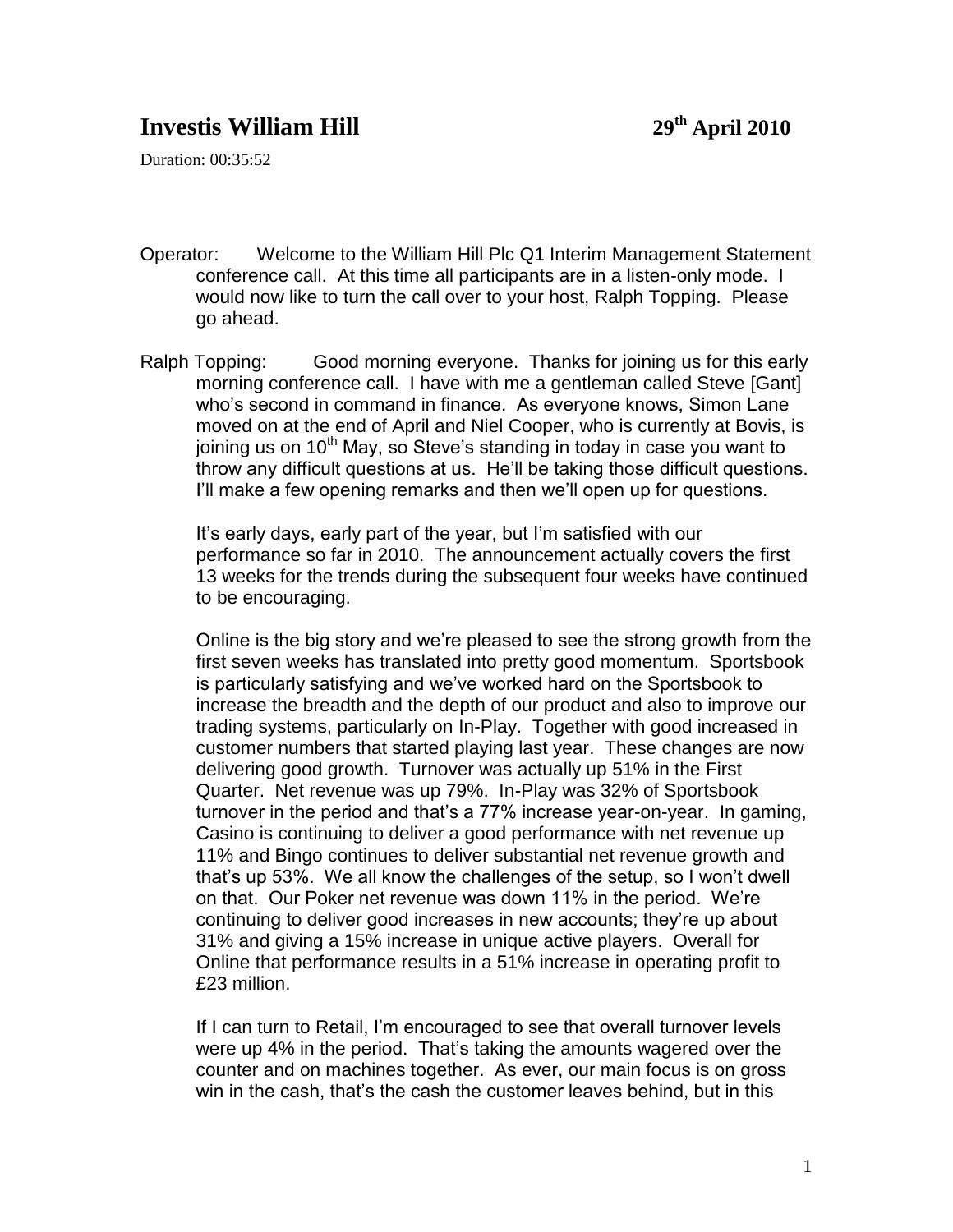## **Investis William Hill 29th April 2010**

Duration: 00:35:52

- Operator: Welcome to the William Hill Plc Q1 Interim Management Statement conference call. At this time all participants are in a listen-only mode. I would now like to turn the call over to your host, Ralph Topping. Please go ahead.
- Ralph Topping: Good morning everyone. Thanks for joining us for this early morning conference call. I have with me a gentleman called Steve [Gant] who's second in command in finance. As everyone knows, Simon Lane moved on at the end of April and Niel Cooper, who is currently at Bovis, is joining us on  $10^{th}$  May, so Steve's standing in today in case you want to throw any difficult questions at us. He'll be taking those difficult questions. I'll make a few opening remarks and then we'll open up for questions.

It's early days, early part of the year, but I'm satisfied with our performance so far in 2010. The announcement actually covers the first 13 weeks for the trends during the subsequent four weeks have continued to be encouraging.

Online is the big story and we're pleased to see the strong growth from the first seven weeks has translated into pretty good momentum. Sportsbook is particularly satisfying and we've worked hard on the Sportsbook to increase the breadth and the depth of our product and also to improve our trading systems, particularly on In-Play. Together with good increased in customer numbers that started playing last year. These changes are now delivering good growth. Turnover was actually up 51% in the First Quarter. Net revenue was up 79%. In-Play was 32% of Sportsbook turnover in the period and that's a 77% increase year-on-year. In gaming, Casino is continuing to deliver a good performance with net revenue up 11% and Bingo continues to deliver substantial net revenue growth and that's up 53%. We all know the challenges of the setup, so I won't dwell on that. Our Poker net revenue was down 11% in the period. We're continuing to deliver good increases in new accounts; they're up about 31% and giving a 15% increase in unique active players. Overall for Online that performance results in a 51% increase in operating profit to £23 million.

If I can turn to Retail, I'm encouraged to see that overall turnover levels were up 4% in the period. That's taking the amounts wagered over the counter and on machines together. As ever, our main focus is on gross win in the cash, that's the cash the customer leaves behind, but in this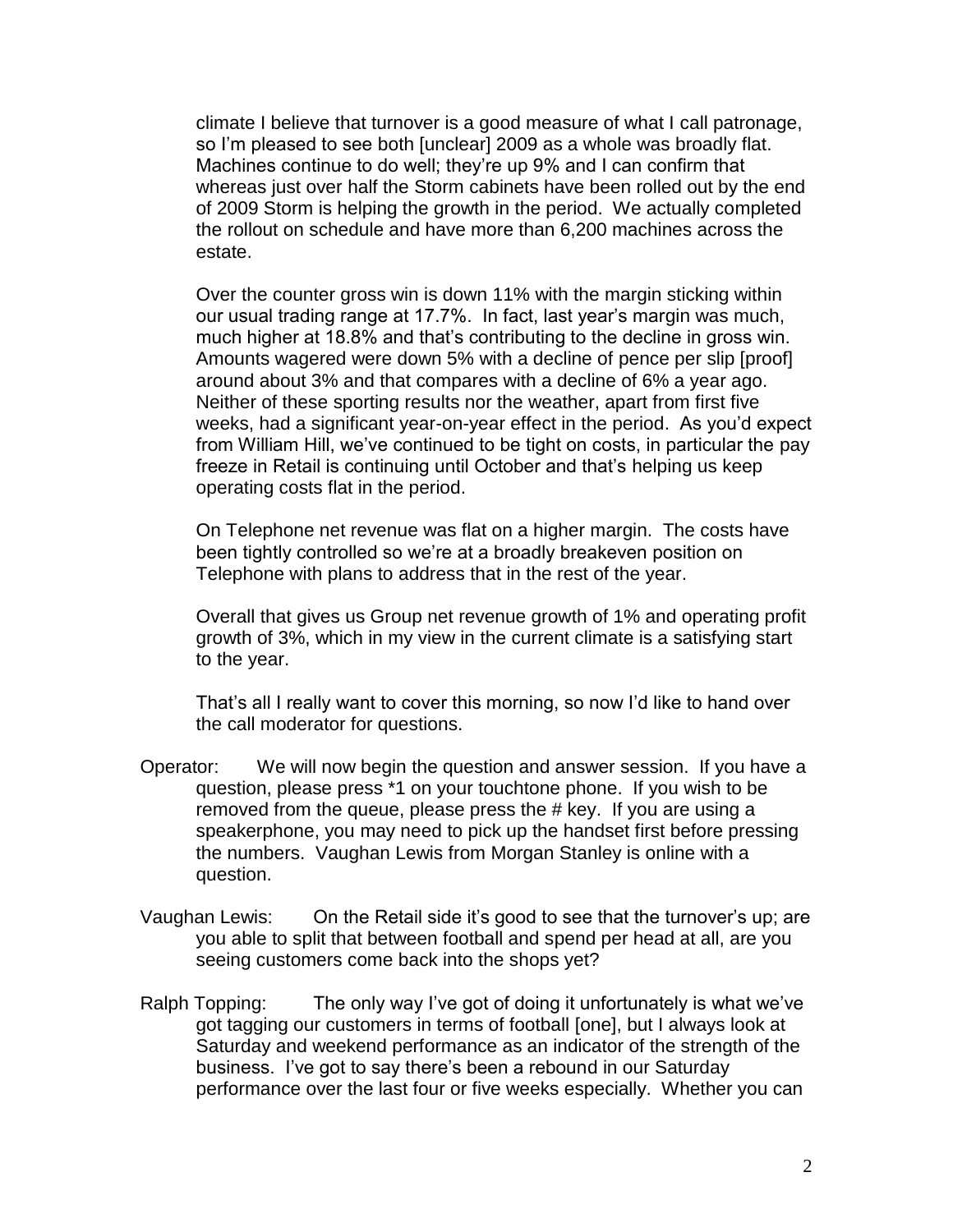climate I believe that turnover is a good measure of what I call patronage, so I'm pleased to see both [unclear] 2009 as a whole was broadly flat. Machines continue to do well; they're up 9% and I can confirm that whereas just over half the Storm cabinets have been rolled out by the end of 2009 Storm is helping the growth in the period. We actually completed the rollout on schedule and have more than 6,200 machines across the estate.

Over the counter gross win is down 11% with the margin sticking within our usual trading range at 17.7%. In fact, last year's margin was much, much higher at 18.8% and that's contributing to the decline in gross win. Amounts wagered were down 5% with a decline of pence per slip [proof] around about 3% and that compares with a decline of 6% a year ago. Neither of these sporting results nor the weather, apart from first five weeks, had a significant year-on-year effect in the period. As you'd expect from William Hill, we've continued to be tight on costs, in particular the pay freeze in Retail is continuing until October and that's helping us keep operating costs flat in the period.

On Telephone net revenue was flat on a higher margin. The costs have been tightly controlled so we're at a broadly breakeven position on Telephone with plans to address that in the rest of the year.

Overall that gives us Group net revenue growth of 1% and operating profit growth of 3%, which in my view in the current climate is a satisfying start to the year.

That's all I really want to cover this morning, so now I'd like to hand over the call moderator for questions.

- Operator: We will now begin the question and answer session. If you have a question, please press \*1 on your touchtone phone. If you wish to be removed from the queue, please press the # key. If you are using a speakerphone, you may need to pick up the handset first before pressing the numbers. Vaughan Lewis from Morgan Stanley is online with a question.
- Vaughan Lewis: On the Retail side it's good to see that the turnover's up; are you able to split that between football and spend per head at all, are you seeing customers come back into the shops yet?
- Ralph Topping: The only way I've got of doing it unfortunately is what we've got tagging our customers in terms of football [one], but I always look at Saturday and weekend performance as an indicator of the strength of the business. I've got to say there's been a rebound in our Saturday performance over the last four or five weeks especially. Whether you can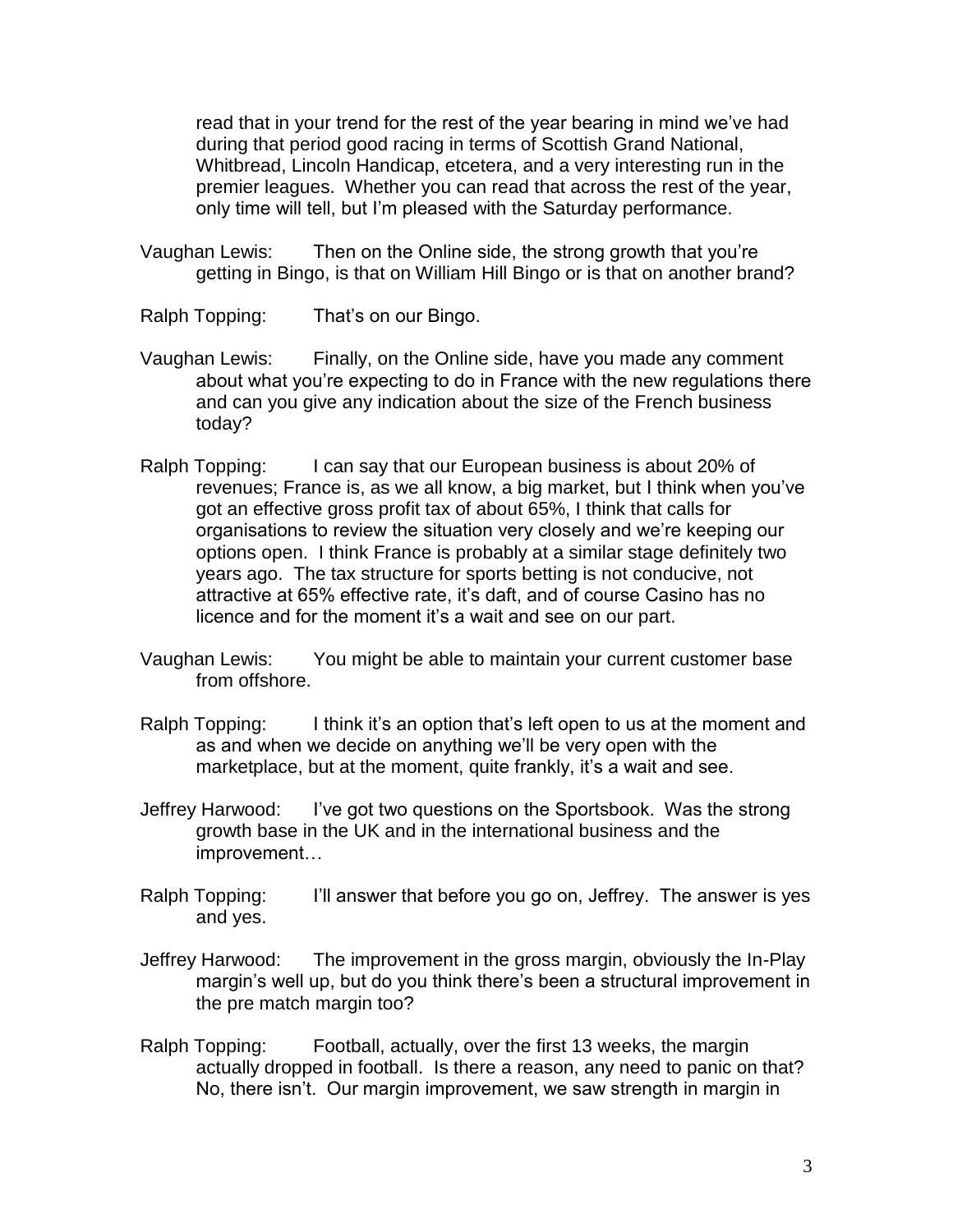read that in your trend for the rest of the year bearing in mind we've had during that period good racing in terms of Scottish Grand National, Whitbread, Lincoln Handicap, etcetera, and a very interesting run in the premier leagues. Whether you can read that across the rest of the year, only time will tell, but I'm pleased with the Saturday performance.

- Vaughan Lewis: Then on the Online side, the strong growth that you're getting in Bingo, is that on William Hill Bingo or is that on another brand?
- Ralph Topping: That's on our Bingo.
- Vaughan Lewis: Finally, on the Online side, have you made any comment about what you're expecting to do in France with the new regulations there and can you give any indication about the size of the French business today?
- Ralph Topping: I can say that our European business is about 20% of revenues; France is, as we all know, a big market, but I think when you've got an effective gross profit tax of about 65%, I think that calls for organisations to review the situation very closely and we're keeping our options open. I think France is probably at a similar stage definitely two years ago. The tax structure for sports betting is not conducive, not attractive at 65% effective rate, it's daft, and of course Casino has no licence and for the moment it's a wait and see on our part.
- Vaughan Lewis: You might be able to maintain your current customer base from offshore.
- Ralph Topping: I think it's an option that's left open to us at the moment and as and when we decide on anything we'll be very open with the marketplace, but at the moment, quite frankly, it's a wait and see.
- Jeffrey Harwood: I've got two questions on the Sportsbook. Was the strong growth base in the UK and in the international business and the improvement…
- Ralph Topping: I'll answer that before you go on, Jeffrey. The answer is yes and yes.
- Jeffrey Harwood: The improvement in the gross margin, obviously the In-Play margin's well up, but do you think there's been a structural improvement in the pre match margin too?
- Ralph Topping: Football, actually, over the first 13 weeks, the margin actually dropped in football. Is there a reason, any need to panic on that? No, there isn't. Our margin improvement, we saw strength in margin in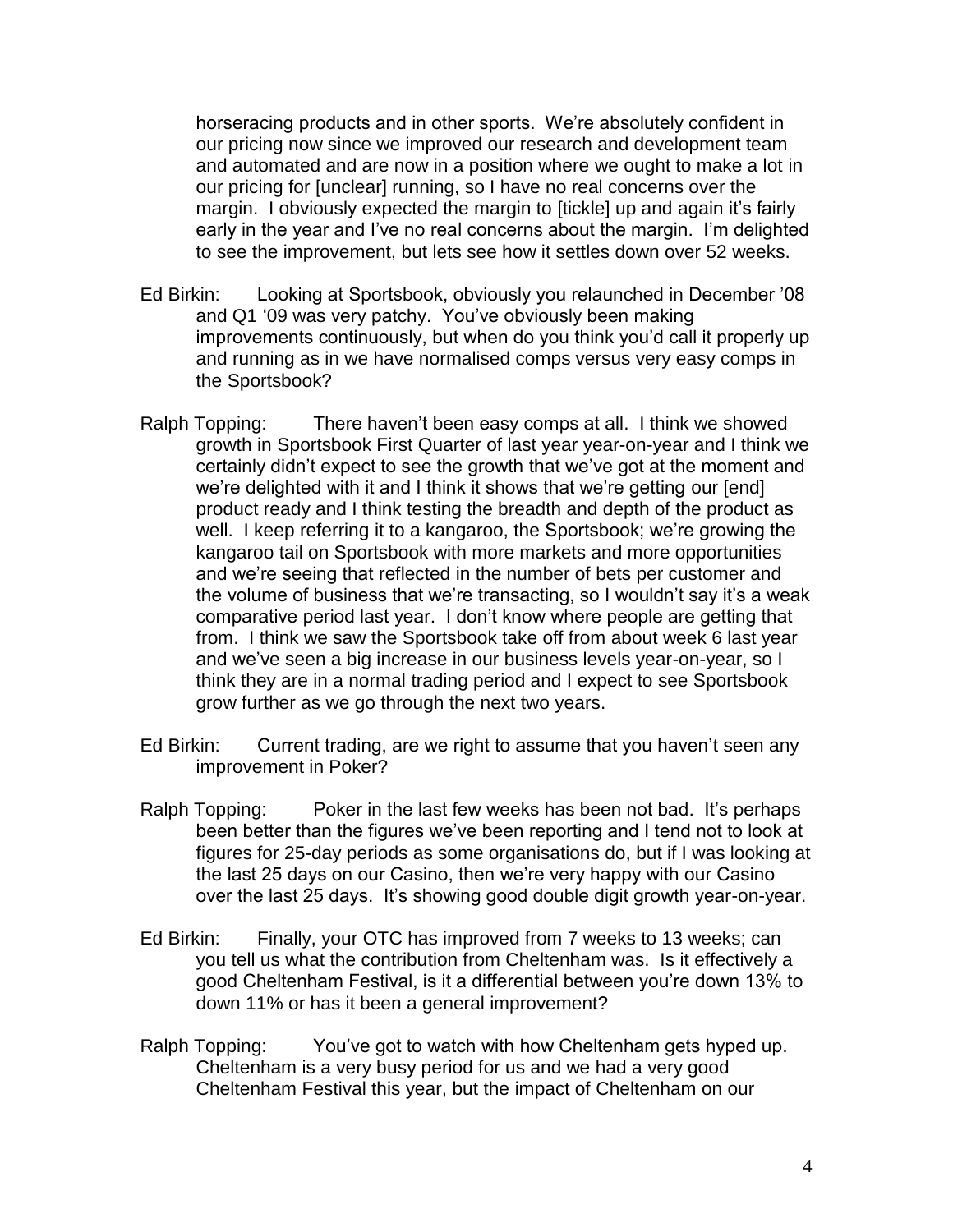horseracing products and in other sports. We're absolutely confident in our pricing now since we improved our research and development team and automated and are now in a position where we ought to make a lot in our pricing for [unclear] running, so I have no real concerns over the margin. I obviously expected the margin to [tickle] up and again it's fairly early in the year and I've no real concerns about the margin. I'm delighted to see the improvement, but lets see how it settles down over 52 weeks.

- Ed Birkin: Looking at Sportsbook, obviously you relaunched in December '08 and Q1 '09 was very patchy. You've obviously been making improvements continuously, but when do you think you'd call it properly up and running as in we have normalised comps versus very easy comps in the Sportsbook?
- Ralph Topping: There haven't been easy comps at all. I think we showed growth in Sportsbook First Quarter of last year year-on-year and I think we certainly didn't expect to see the growth that we've got at the moment and we're delighted with it and I think it shows that we're getting our [end] product ready and I think testing the breadth and depth of the product as well. I keep referring it to a kangaroo, the Sportsbook; we're growing the kangaroo tail on Sportsbook with more markets and more opportunities and we're seeing that reflected in the number of bets per customer and the volume of business that we're transacting, so I wouldn't say it's a weak comparative period last year. I don't know where people are getting that from. I think we saw the Sportsbook take off from about week 6 last year and we've seen a big increase in our business levels year-on-year, so I think they are in a normal trading period and I expect to see Sportsbook grow further as we go through the next two years.
- Ed Birkin: Current trading, are we right to assume that you haven't seen any improvement in Poker?
- Ralph Topping: Poker in the last few weeks has been not bad. It's perhaps been better than the figures we've been reporting and I tend not to look at figures for 25-day periods as some organisations do, but if I was looking at the last 25 days on our Casino, then we're very happy with our Casino over the last 25 days. It's showing good double digit growth year-on-year.
- Ed Birkin: Finally, your OTC has improved from 7 weeks to 13 weeks; can you tell us what the contribution from Cheltenham was. Is it effectively a good Cheltenham Festival, is it a differential between you're down 13% to down 11% or has it been a general improvement?
- Ralph Topping: You've got to watch with how Cheltenham gets hyped up. Cheltenham is a very busy period for us and we had a very good Cheltenham Festival this year, but the impact of Cheltenham on our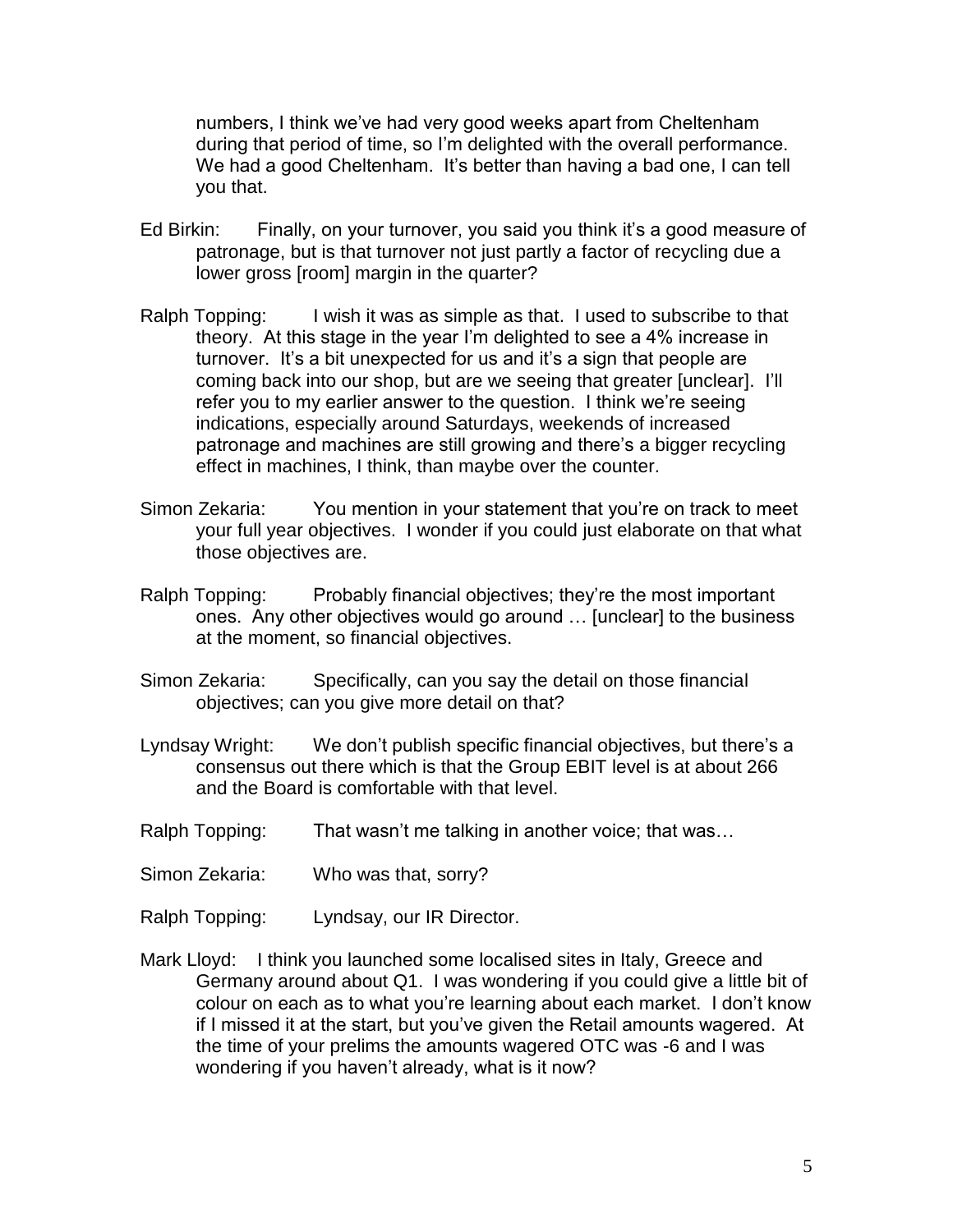numbers, I think we've had very good weeks apart from Cheltenham during that period of time, so I'm delighted with the overall performance. We had a good Cheltenham. It's better than having a bad one, I can tell you that.

- Ed Birkin: Finally, on your turnover, you said you think it's a good measure of patronage, but is that turnover not just partly a factor of recycling due a lower gross [room] margin in the quarter?
- Ralph Topping: I wish it was as simple as that. I used to subscribe to that theory. At this stage in the year I'm delighted to see a 4% increase in turnover. It's a bit unexpected for us and it's a sign that people are coming back into our shop, but are we seeing that greater [unclear]. I'll refer you to my earlier answer to the question. I think we're seeing indications, especially around Saturdays, weekends of increased patronage and machines are still growing and there's a bigger recycling effect in machines, I think, than maybe over the counter.
- Simon Zekaria: You mention in your statement that you're on track to meet your full year objectives. I wonder if you could just elaborate on that what those objectives are.
- Ralph Topping: Probably financial objectives; they're the most important ones. Any other objectives would go around … [unclear] to the business at the moment, so financial objectives.
- Simon Zekaria: Specifically, can you say the detail on those financial objectives; can you give more detail on that?
- Lyndsay Wright: We don't publish specific financial objectives, but there's a consensus out there which is that the Group EBIT level is at about 266 and the Board is comfortable with that level.
- Ralph Topping: That wasn't me talking in another voice; that was...
- Simon Zekaria: Who was that, sorry?
- Ralph Topping: Lyndsay, our IR Director.
- Mark Lloyd: I think you launched some localised sites in Italy, Greece and Germany around about Q1. I was wondering if you could give a little bit of colour on each as to what you're learning about each market. I don't know if I missed it at the start, but you've given the Retail amounts wagered. At the time of your prelims the amounts wagered OTC was -6 and I was wondering if you haven't already, what is it now?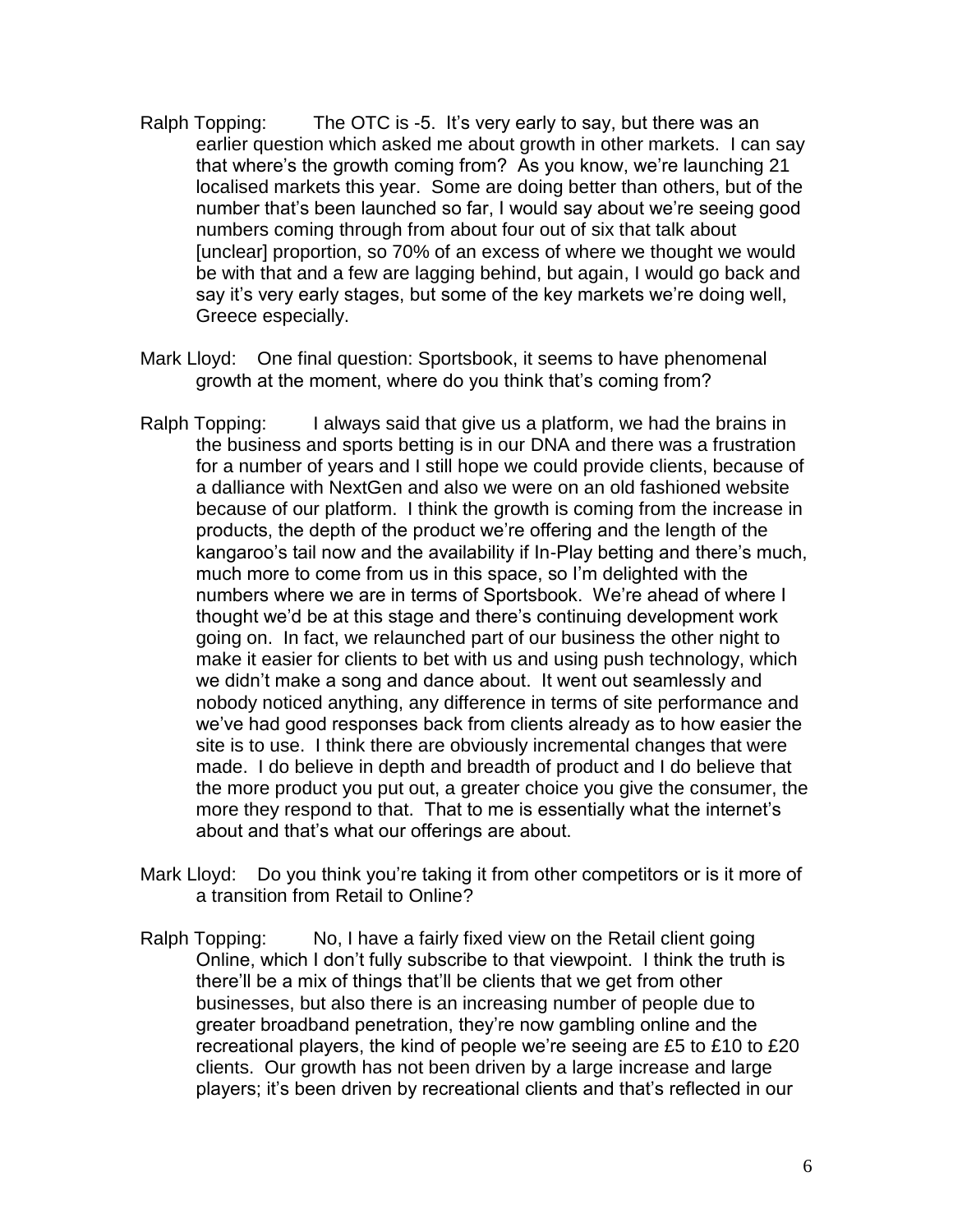- Ralph Topping: The OTC is -5. It's very early to say, but there was an earlier question which asked me about growth in other markets. I can say that where's the growth coming from? As you know, we're launching 21 localised markets this year. Some are doing better than others, but of the number that's been launched so far, I would say about we're seeing good numbers coming through from about four out of six that talk about [unclear] proportion, so 70% of an excess of where we thought we would be with that and a few are lagging behind, but again, I would go back and say it's very early stages, but some of the key markets we're doing well, Greece especially.
- Mark Lloyd: One final question: Sportsbook, it seems to have phenomenal growth at the moment, where do you think that's coming from?
- Ralph Topping: I always said that give us a platform, we had the brains in the business and sports betting is in our DNA and there was a frustration for a number of years and I still hope we could provide clients, because of a dalliance with NextGen and also we were on an old fashioned website because of our platform. I think the growth is coming from the increase in products, the depth of the product we're offering and the length of the kangaroo's tail now and the availability if In-Play betting and there's much, much more to come from us in this space, so I'm delighted with the numbers where we are in terms of Sportsbook. We're ahead of where I thought we'd be at this stage and there's continuing development work going on. In fact, we relaunched part of our business the other night to make it easier for clients to bet with us and using push technology, which we didn't make a song and dance about. It went out seamlessly and nobody noticed anything, any difference in terms of site performance and we've had good responses back from clients already as to how easier the site is to use. I think there are obviously incremental changes that were made. I do believe in depth and breadth of product and I do believe that the more product you put out, a greater choice you give the consumer, the more they respond to that. That to me is essentially what the internet's about and that's what our offerings are about.
- Mark Lloyd: Do you think you're taking it from other competitors or is it more of a transition from Retail to Online?
- Ralph Topping: No, I have a fairly fixed view on the Retail client going Online, which I don't fully subscribe to that viewpoint. I think the truth is there'll be a mix of things that'll be clients that we get from other businesses, but also there is an increasing number of people due to greater broadband penetration, they're now gambling online and the recreational players, the kind of people we're seeing are £5 to £10 to £20 clients. Our growth has not been driven by a large increase and large players; it's been driven by recreational clients and that's reflected in our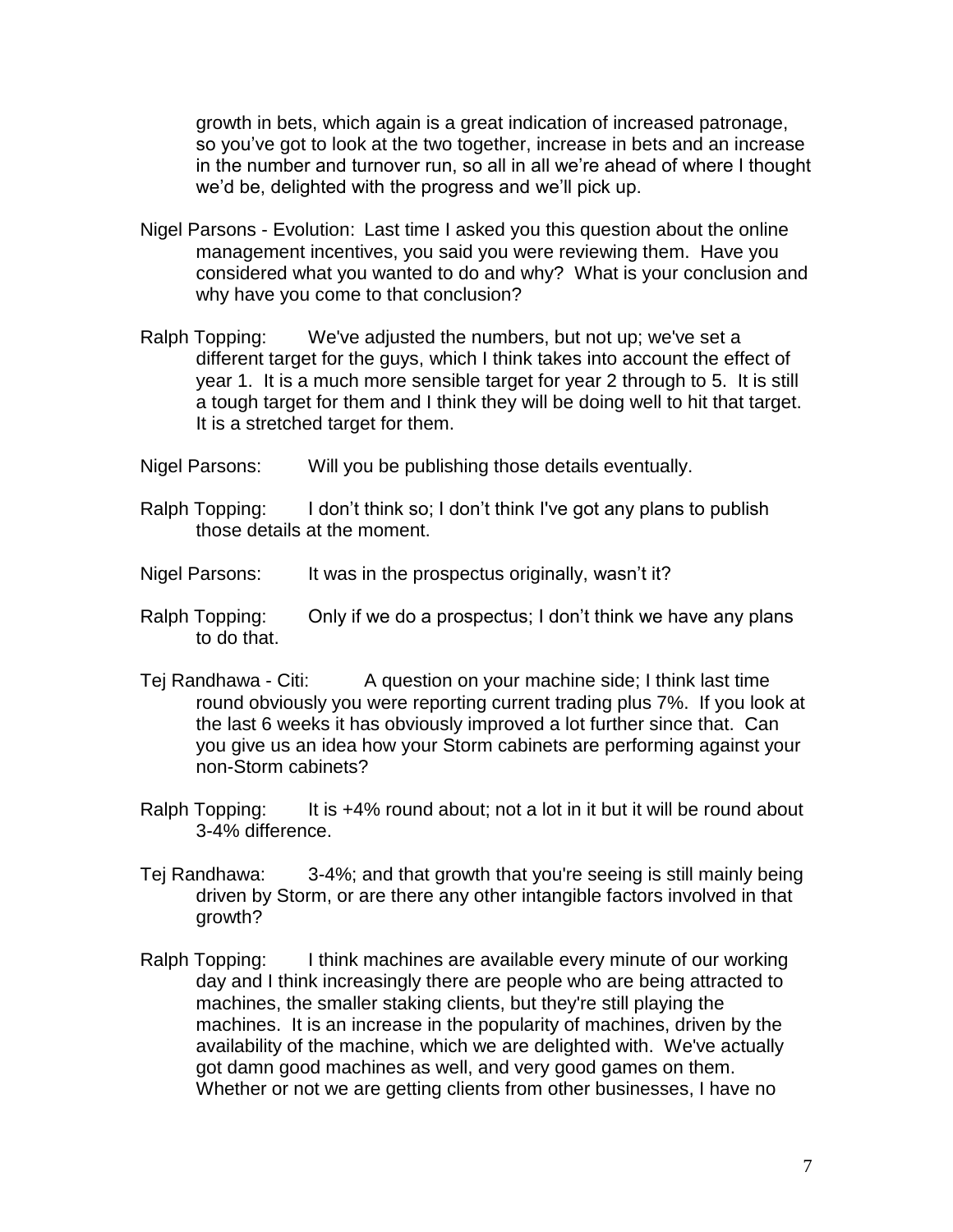growth in bets, which again is a great indication of increased patronage, so you've got to look at the two together, increase in bets and an increase in the number and turnover run, so all in all we're ahead of where I thought we'd be, delighted with the progress and we'll pick up.

- Nigel Parsons Evolution: Last time I asked you this question about the online management incentives, you said you were reviewing them. Have you considered what you wanted to do and why? What is your conclusion and why have you come to that conclusion?
- Ralph Topping: We've adjusted the numbers, but not up; we've set a different target for the guys, which I think takes into account the effect of year 1. It is a much more sensible target for year 2 through to 5. It is still a tough target for them and I think they will be doing well to hit that target. It is a stretched target for them.
- Nigel Parsons: Will you be publishing those details eventually.
- Ralph Topping: I don't think so; I don't think I've got any plans to publish those details at the moment.
- Nigel Parsons: It was in the prospectus originally, wasn't it?
- Ralph Topping: Only if we do a prospectus; I don't think we have any plans to do that.
- Tej Randhawa Citi: A question on your machine side; I think last time round obviously you were reporting current trading plus 7%. If you look at the last 6 weeks it has obviously improved a lot further since that. Can you give us an idea how your Storm cabinets are performing against your non-Storm cabinets?
- Ralph Topping: It is +4% round about; not a lot in it but it will be round about 3-4% difference.
- Tej Randhawa: 3-4%; and that growth that you're seeing is still mainly being driven by Storm, or are there any other intangible factors involved in that growth?
- Ralph Topping: I think machines are available every minute of our working day and I think increasingly there are people who are being attracted to machines, the smaller staking clients, but they're still playing the machines. It is an increase in the popularity of machines, driven by the availability of the machine, which we are delighted with. We've actually got damn good machines as well, and very good games on them. Whether or not we are getting clients from other businesses, I have no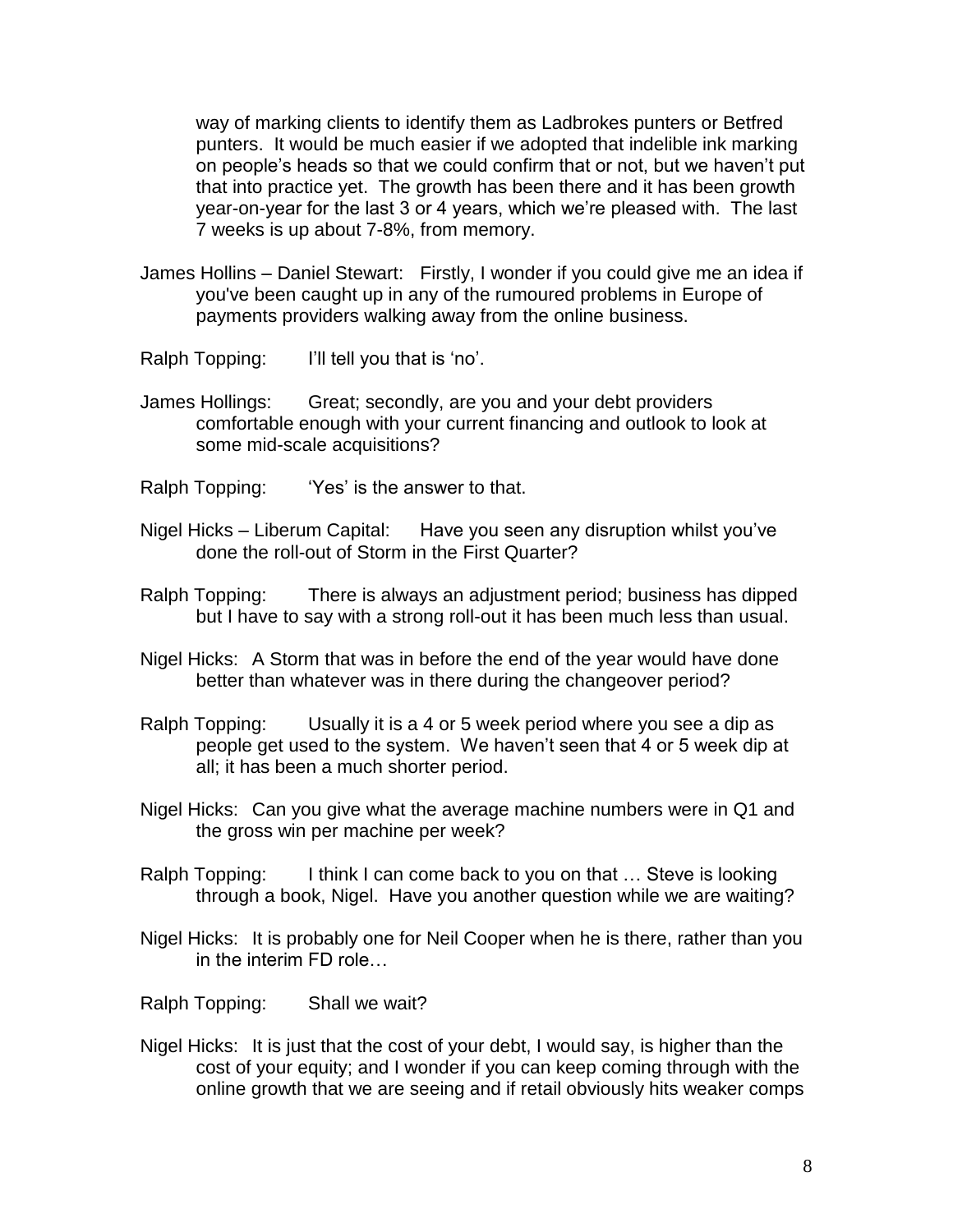way of marking clients to identify them as Ladbrokes punters or Betfred punters. It would be much easier if we adopted that indelible ink marking on people's heads so that we could confirm that or not, but we haven't put that into practice yet. The growth has been there and it has been growth year-on-year for the last 3 or 4 years, which we're pleased with. The last 7 weeks is up about 7-8%, from memory.

James Hollins – Daniel Stewart: Firstly, I wonder if you could give me an idea if you've been caught up in any of the rumoured problems in Europe of payments providers walking away from the online business.

Ralph Topping: I'll tell you that is 'no'.

James Hollings: Great; secondly, are you and your debt providers comfortable enough with your current financing and outlook to look at some mid-scale acquisitions?

Ralph Topping: 'Yes' is the answer to that.

- Nigel Hicks Liberum Capital: Have you seen any disruption whilst you've done the roll-out of Storm in the First Quarter?
- Ralph Topping: There is always an adjustment period; business has dipped but I have to say with a strong roll-out it has been much less than usual.
- Nigel Hicks: A Storm that was in before the end of the year would have done better than whatever was in there during the changeover period?
- Ralph Topping: Usually it is a 4 or 5 week period where you see a dip as people get used to the system. We haven't seen that 4 or 5 week dip at all; it has been a much shorter period.
- Nigel Hicks: Can you give what the average machine numbers were in Q1 and the gross win per machine per week?
- Ralph Topping: I think I can come back to you on that ... Steve is looking through a book, Nigel. Have you another question while we are waiting?
- Nigel Hicks: It is probably one for Neil Cooper when he is there, rather than you in the interim FD role…

Ralph Topping: Shall we wait?

Nigel Hicks: It is just that the cost of your debt, I would say, is higher than the cost of your equity; and I wonder if you can keep coming through with the online growth that we are seeing and if retail obviously hits weaker comps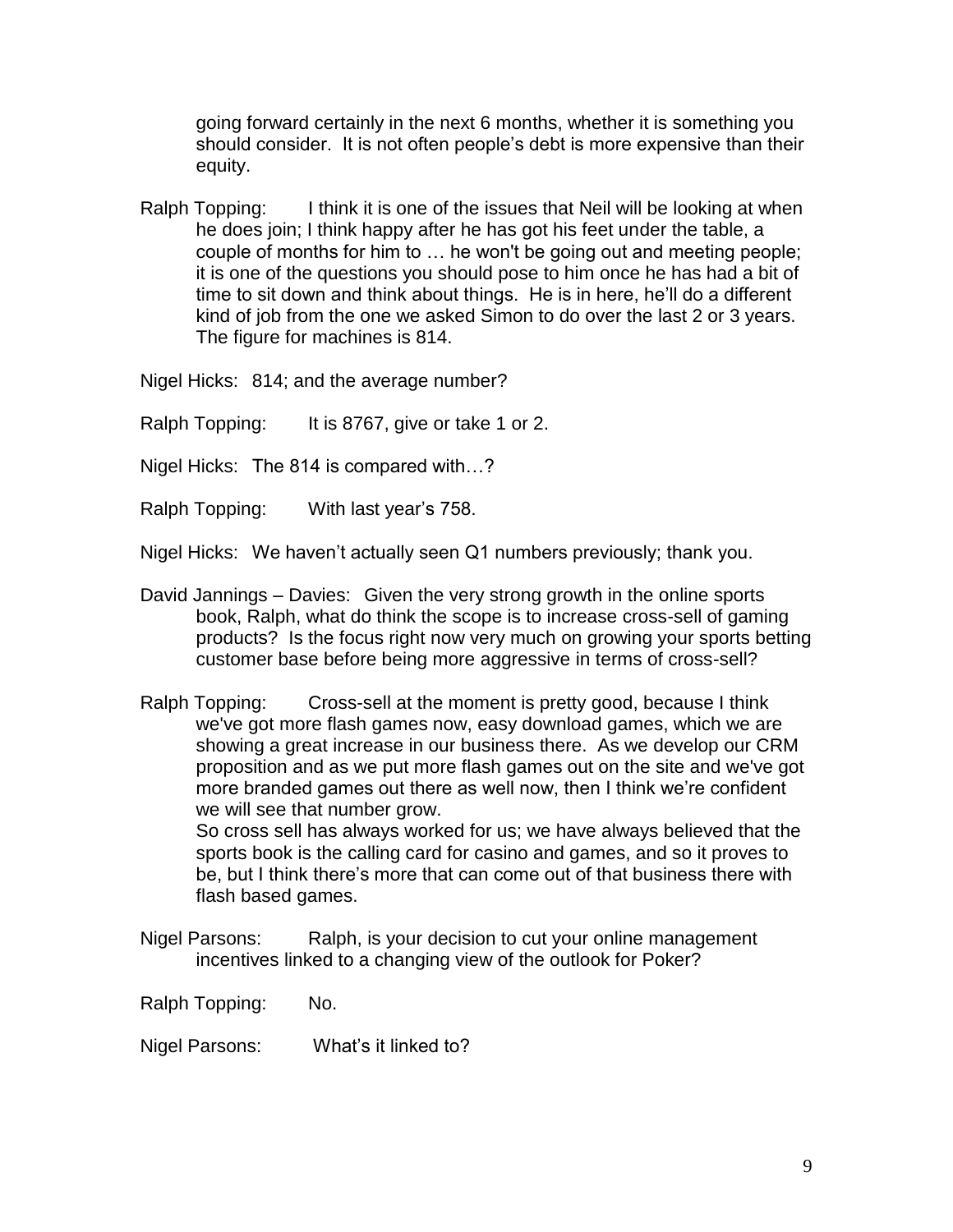going forward certainly in the next 6 months, whether it is something you should consider. It is not often people's debt is more expensive than their equity.

Ralph Topping: I think it is one of the issues that Neil will be looking at when he does join; I think happy after he has got his feet under the table, a couple of months for him to … he won't be going out and meeting people; it is one of the questions you should pose to him once he has had a bit of time to sit down and think about things. He is in here, he'll do a different kind of job from the one we asked Simon to do over the last 2 or 3 years. The figure for machines is 814.

Nigel Hicks: 814; and the average number?

Ralph Topping: It is 8767, give or take 1 or 2.

Nigel Hicks: The 814 is compared with…?

Ralph Topping: With last year's 758.

Nigel Hicks: We haven't actually seen Q1 numbers previously; thank you.

- David Jannings Davies: Given the very strong growth in the online sports book, Ralph, what do think the scope is to increase cross-sell of gaming products? Is the focus right now very much on growing your sports betting customer base before being more aggressive in terms of cross-sell?
- Ralph Topping: Cross-sell at the moment is pretty good, because I think we've got more flash games now, easy download games, which we are showing a great increase in our business there. As we develop our CRM proposition and as we put more flash games out on the site and we've got more branded games out there as well now, then I think we're confident we will see that number grow.

So cross sell has always worked for us; we have always believed that the sports book is the calling card for casino and games, and so it proves to be, but I think there's more that can come out of that business there with flash based games.

Nigel Parsons: Ralph, is your decision to cut your online management incentives linked to a changing view of the outlook for Poker?

Ralph Topping: No.

Nigel Parsons: What's it linked to?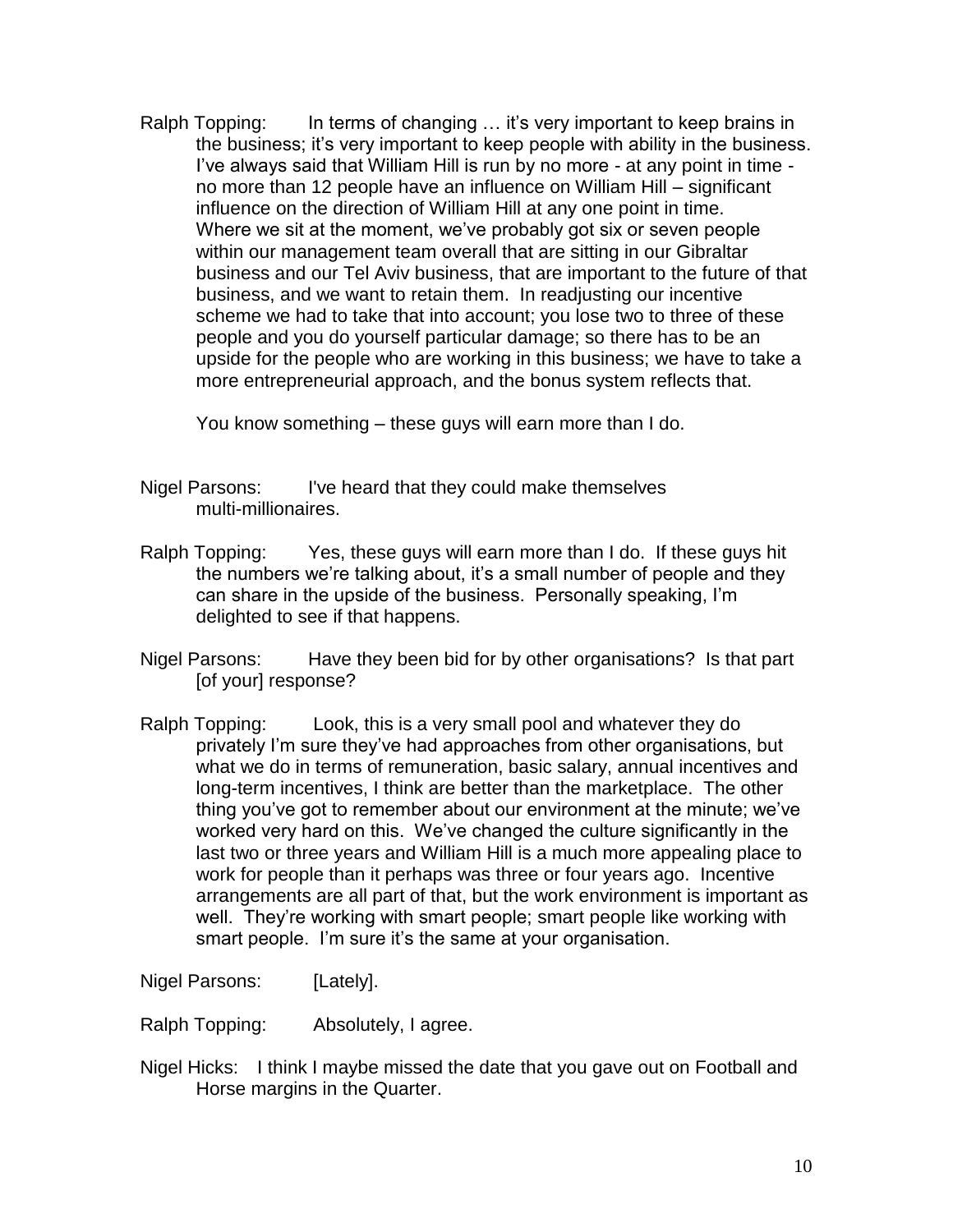Ralph Topping: In terms of changing ... it's very important to keep brains in the business; it's very important to keep people with ability in the business. I've always said that William Hill is run by no more - at any point in time no more than 12 people have an influence on William Hill – significant influence on the direction of William Hill at any one point in time. Where we sit at the moment, we've probably got six or seven people within our management team overall that are sitting in our Gibraltar business and our Tel Aviv business, that are important to the future of that business, and we want to retain them. In readjusting our incentive scheme we had to take that into account; you lose two to three of these people and you do yourself particular damage; so there has to be an upside for the people who are working in this business; we have to take a more entrepreneurial approach, and the bonus system reflects that.

You know something – these guys will earn more than I do.

- Nigel Parsons: I've heard that they could make themselves multi-millionaires.
- Ralph Topping: Yes, these guys will earn more than I do. If these guys hit the numbers we're talking about, it's a small number of people and they can share in the upside of the business. Personally speaking, I'm delighted to see if that happens.
- Nigel Parsons: Have they been bid for by other organisations? Is that part [of your] response?
- Ralph Topping: Look, this is a very small pool and whatever they do privately I'm sure they've had approaches from other organisations, but what we do in terms of remuneration, basic salary, annual incentives and long-term incentives, I think are better than the marketplace. The other thing you've got to remember about our environment at the minute; we've worked very hard on this. We've changed the culture significantly in the last two or three years and William Hill is a much more appealing place to work for people than it perhaps was three or four years ago. Incentive arrangements are all part of that, but the work environment is important as well. They're working with smart people; smart people like working with smart people. I'm sure it's the same at your organisation.

Nigel Parsons: [Lately].

Ralph Topping: Absolutely, I agree.

Nigel Hicks: I think I maybe missed the date that you gave out on Football and Horse margins in the Quarter.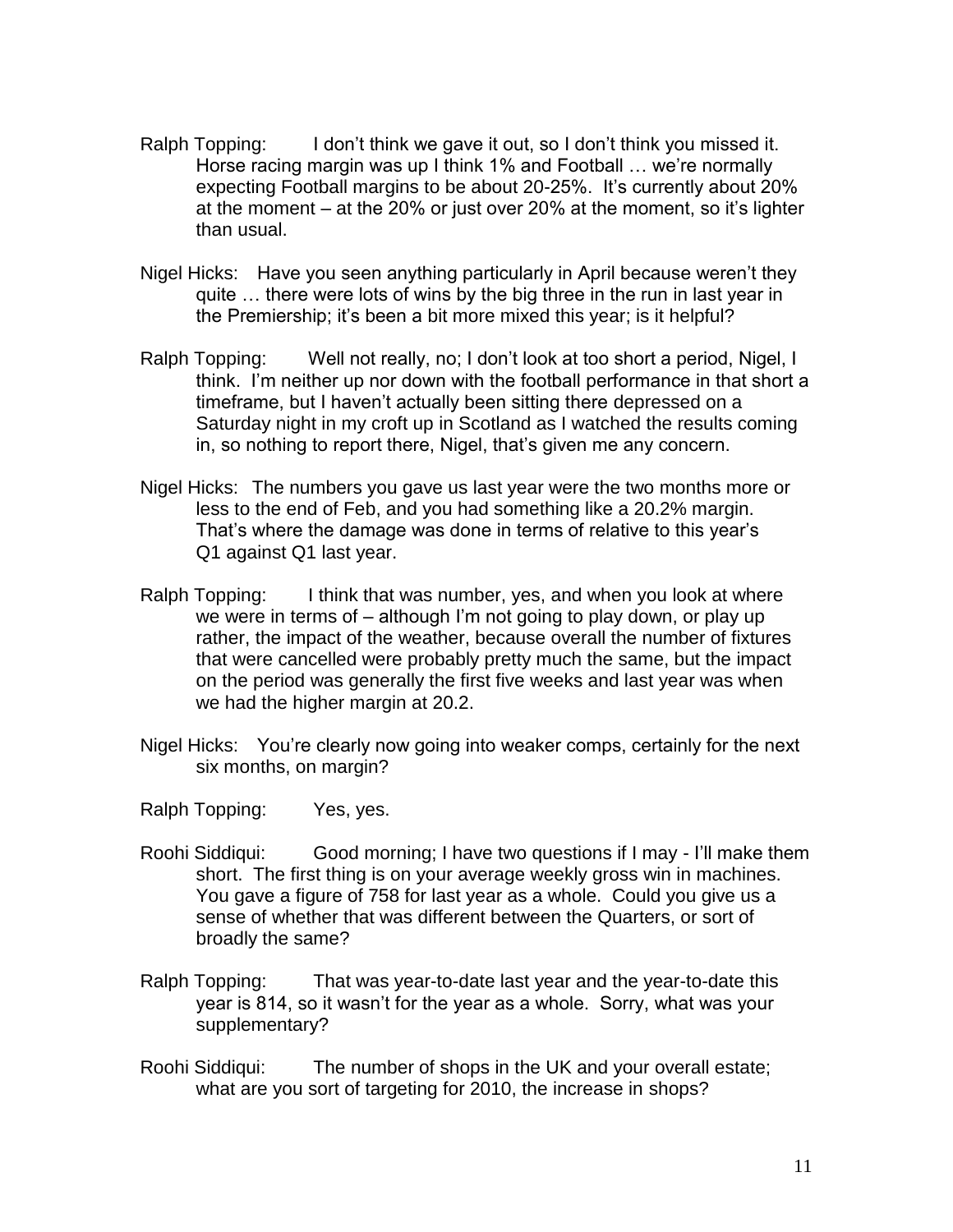- Ralph Topping: I don't think we gave it out, so I don't think you missed it. Horse racing margin was up I think 1% and Football … we're normally expecting Football margins to be about 20-25%. It's currently about 20% at the moment – at the 20% or just over 20% at the moment, so it's lighter than usual.
- Nigel Hicks: Have you seen anything particularly in April because weren't they quite … there were lots of wins by the big three in the run in last year in the Premiership; it's been a bit more mixed this year; is it helpful?
- Ralph Topping: Well not really, no; I don't look at too short a period, Nigel, I think. I'm neither up nor down with the football performance in that short a timeframe, but I haven't actually been sitting there depressed on a Saturday night in my croft up in Scotland as I watched the results coming in, so nothing to report there, Nigel, that's given me any concern.
- Nigel Hicks: The numbers you gave us last year were the two months more or less to the end of Feb, and you had something like a 20.2% margin. That's where the damage was done in terms of relative to this year's Q1 against Q1 last year.
- Ralph Topping: I think that was number, yes, and when you look at where we were in terms of – although I'm not going to play down, or play up rather, the impact of the weather, because overall the number of fixtures that were cancelled were probably pretty much the same, but the impact on the period was generally the first five weeks and last year was when we had the higher margin at 20.2.
- Nigel Hicks: You're clearly now going into weaker comps, certainly for the next six months, on margin?
- Ralph Topping: Yes, yes.
- Roohi Siddiqui: Good morning; I have two questions if I may I'll make them short. The first thing is on your average weekly gross win in machines. You gave a figure of 758 for last year as a whole. Could you give us a sense of whether that was different between the Quarters, or sort of broadly the same?
- Ralph Topping: That was year-to-date last year and the year-to-date this year is 814, so it wasn't for the year as a whole. Sorry, what was your supplementary?
- Roohi Siddiqui: The number of shops in the UK and your overall estate; what are you sort of targeting for 2010, the increase in shops?